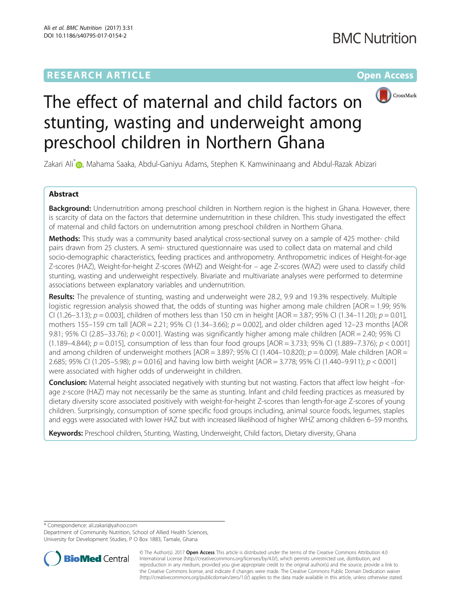# **RESEARCH ARTICLE Example 2014 12:30 The Community Community Community Community Community Community Community**



# The effect of maternal and child factors on stunting, wasting and underweight among preschool children in Northern Ghana

Zakari Ali<sup>\*</sup> [,](http://orcid.org/0000-0002-8129-2230) Mahama Saaka, Abdul-Ganiyu Adams, Stephen K. Kamwininaang and Abdul-Razak Abizari

# Abstract

Background: Undernutrition among preschool children in Northern region is the highest in Ghana. However, there is scarcity of data on the factors that determine undernutrition in these children. This study investigated the effect of maternal and child factors on undernutrition among preschool children in Northern Ghana.

**Methods:** This study was a community based analytical cross-sectional survey on a sample of 425 mother- child pairs drawn from 25 clusters. A semi- structured questionnaire was used to collect data on maternal and child socio-demographic characteristics, feeding practices and anthropometry. Anthropometric indices of Height-for-age Z-scores (HAZ), Weight-for-height Z-scores (WHZ) and Weight-for – age Z-scores (WAZ) were used to classify child stunting, wasting and underweight respectively. Bivariate and multivariate analyses were performed to determine associations between explanatory variables and undernutrition.

Results: The prevalence of stunting, wasting and underweight were 28.2, 9.9 and 19.3% respectively. Multiple logistic regression analysis showed that, the odds of stunting was higher among male children [AOR = 1.99; 95% CI (1.26–3.13);  $p = 0.003$ , children of mothers less than 150 cm in height [AOR = 3.87; 95% CI (1.34–11.20);  $p = 0.01$ , mothers 155–159 cm tall [AOR = 2.21; 95% CI (1.34–3.66);  $p = 0.002$ ], and older children aged 12–23 months [AOR 9.81; 95% CI (2.85–33.76);  $p < 0.001$ ]. Wasting was significantly higher among male children [AOR = 2.40; 95% CI (1.189–4.844);  $p = 0.015$ ], consumption of less than four food groups [AOR = 3.733; 95% CI (1.889–7.376);  $p < 0.001$ ] and among children of underweight mothers  $[AOR = 3.897; 95%$  CI (1.404–10.820);  $p = 0.009$ ]. Male children  $[AOR =$ 2.685; 95% CI (1.205–5.98);  $p = 0.016$ ] and having low birth weight [AOR = 3.778; 95% CI (1.440–9.911);  $p < 0.001$ ] were associated with higher odds of underweight in children.

Conclusion: Maternal height associated negatively with stunting but not wasting. Factors that affect low height -forage z-score (HAZ) may not necessarily be the same as stunting. Infant and child feeding practices as measured by dietary diversity score associated positively with weight-for-height Z-scores than length-for-age Z-scores of young children. Surprisingly, consumption of some specific food groups including, animal source foods, legumes, staples and eggs were associated with lower HAZ but with increased likelihood of higher WHZ among children 6–59 months.

Keywords: Preschool children, Stunting, Wasting, Underweight, Child factors, Dietary diversity, Ghana

\* Correspondence: [ali.zakari@yahoo.com](mailto:ali.zakari@yahoo.com)

Department of Community Nutrition, School of Allied Health Sciences, University for Development Studies, P O Box 1883, Tamale, Ghana



© The Author(s). 2017 **Open Access** This article is distributed under the terms of the Creative Commons Attribution 4.0 International License [\(http://creativecommons.org/licenses/by/4.0/](http://creativecommons.org/licenses/by/4.0/)), which permits unrestricted use, distribution, and reproduction in any medium, provided you give appropriate credit to the original author(s) and the source, provide a link to the Creative Commons license, and indicate if changes were made. The Creative Commons Public Domain Dedication waiver [\(http://creativecommons.org/publicdomain/zero/1.0/](http://creativecommons.org/publicdomain/zero/1.0/)) applies to the data made available in this article, unless otherwise stated.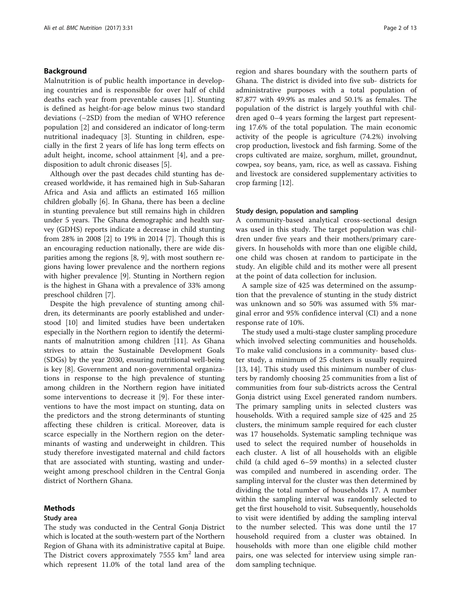# Background

Malnutrition is of public health importance in developing countries and is responsible for over half of child deaths each year from preventable causes [[1\]](#page-11-0). Stunting is defined as height-for-age below minus two standard deviations (−2SD) from the median of WHO reference population [[2\]](#page-11-0) and considered an indicator of long-term nutritional inadequacy [[3\]](#page-11-0). Stunting in children, especially in the first 2 years of life has long term effects on adult height, income, school attainment [[4\]](#page-11-0), and a predisposition to adult chronic diseases [[5](#page-11-0)].

Although over the past decades child stunting has decreased worldwide, it has remained high in Sub-Saharan Africa and Asia and afflicts an estimated 165 million children globally [[6](#page-11-0)]. In Ghana, there has been a decline in stunting prevalence but still remains high in children under 5 years. The Ghana demographic and health survey (GDHS) reports indicate a decrease in child stunting from 28% in 2008 [\[2\]](#page-11-0) to 19% in 2014 [\[7](#page-11-0)]. Though this is an encouraging reduction nationally, there are wide disparities among the regions [\[8, 9](#page-11-0)], with most southern regions having lower prevalence and the northern regions with higher prevalence [\[9](#page-11-0)]. Stunting in Northern region is the highest in Ghana with a prevalence of 33% among preschool children [[7\]](#page-11-0).

Despite the high prevalence of stunting among children, its determinants are poorly established and understood [[10\]](#page-11-0) and limited studies have been undertaken especially in the Northern region to identify the determinants of malnutrition among children [[11\]](#page-11-0). As Ghana strives to attain the Sustainable Development Goals (SDGs) by the year 2030, ensuring nutritional well-being is key [[8\]](#page-11-0). Government and non-governmental organizations in response to the high prevalence of stunting among children in the Northern region have initiated some interventions to decrease it [\[9](#page-11-0)]. For these interventions to have the most impact on stunting, data on the predictors and the strong determinants of stunting affecting these children is critical. Moreover, data is scarce especially in the Northern region on the determinants of wasting and underweight in children. This study therefore investigated maternal and child factors that are associated with stunting, wasting and underweight among preschool children in the Central Gonja district of Northern Ghana.

# Methods

# Study area

The study was conducted in the Central Gonja District which is located at the south-western part of the Northern Region of Ghana with its administrative capital at Buipe. The District covers approximately  $7555 \text{ km}^2$  land area which represent 11.0% of the total land area of the region and shares boundary with the southern parts of Ghana. The district is divided into five sub- districts for administrative purposes with a total population of 87,877 with 49.9% as males and 50.1% as females. The population of the district is largely youthful with children aged 0–4 years forming the largest part representing 17.6% of the total population. The main economic activity of the people is agriculture (74.2%) involving crop production, livestock and fish farming. Some of the crops cultivated are maize, sorghum, millet, groundnut, cowpea, soy beans, yam, rice, as well as cassava. Fishing and livestock are considered supplementary activities to crop farming [[12\]](#page-11-0).

# Study design, population and sampling

A community-based analytical cross-sectional design was used in this study. The target population was children under five years and their mothers/primary caregivers. In households with more than one eligible child, one child was chosen at random to participate in the study. An eligible child and its mother were all present at the point of data collection for inclusion.

A sample size of 425 was determined on the assumption that the prevalence of stunting in the study district was unknown and so 50% was assumed with 5% marginal error and 95% confidence interval (CI) and a none response rate of 10%.

The study used a multi-stage cluster sampling procedure which involved selecting communities and households. To make valid conclusions in a community- based cluster study, a minimum of 25 clusters is usually required [[13, 14](#page-11-0)]. This study used this minimum number of clusters by randomly choosing 25 communities from a list of communities from four sub-districts across the Central Gonja district using Excel generated random numbers. The primary sampling units in selected clusters was households. With a required sample size of 425 and 25 clusters, the minimum sample required for each cluster was 17 households. Systematic sampling technique was used to select the required number of households in each cluster. A list of all households with an eligible child (a child aged 6–59 months) in a selected cluster was compiled and numbered in ascending order. The sampling interval for the cluster was then determined by dividing the total number of households 17. A number within the sampling interval was randomly selected to get the first household to visit. Subsequently, households to visit were identified by adding the sampling interval to the number selected. This was done until the 17 household required from a cluster was obtained. In households with more than one eligible child mother pairs, one was selected for interview using simple random sampling technique.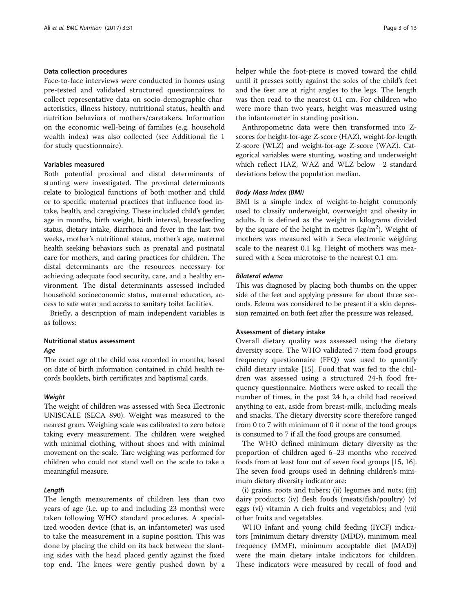# Data collection procedures

Face-to-face interviews were conducted in homes using pre-tested and validated structured questionnaires to collect representative data on socio-demographic characteristics, illness history, nutritional status, health and nutrition behaviors of mothers/caretakers. Information on the economic well-being of families (e.g. household wealth index) was also collected (see Additional fie [1](#page-11-0) for study questionnaire).

# Variables measured

Both potential proximal and distal determinants of stunting were investigated. The proximal determinants relate to biological functions of both mother and child or to specific maternal practices that influence food intake, health, and caregiving. These included child's gender, age in months, birth weight, birth interval, breastfeeding status, dietary intake, diarrhoea and fever in the last two weeks, mother's nutritional status, mother's age, maternal health seeking behaviors such as prenatal and postnatal care for mothers, and caring practices for children. The distal determinants are the resources necessary for achieving adequate food security, care, and a healthy environment. The distal determinants assessed included household socioeconomic status, maternal education, access to safe water and access to sanitary toilet facilities.

Briefly, a description of main independent variables is as follows:

# Nutritional status assessment

# Age

The exact age of the child was recorded in months, based on date of birth information contained in child health records booklets, birth certificates and baptismal cards.

# Weight

The weight of children was assessed with Seca Electronic UNISCALE (SECA 890). Weight was measured to the nearest gram. Weighing scale was calibrated to zero before taking every measurement. The children were weighed with minimal clothing, without shoes and with minimal movement on the scale. Tare weighing was performed for children who could not stand well on the scale to take a meaningful measure.

# Length

The length measurements of children less than two years of age (i.e. up to and including 23 months) were taken following WHO standard procedures. A specialized wooden device (that is, an infantometer) was used to take the measurement in a supine position. This was done by placing the child on its back between the slanting sides with the head placed gently against the fixed top end. The knees were gently pushed down by a helper while the foot-piece is moved toward the child until it presses softly against the soles of the child's feet and the feet are at right angles to the legs. The length was then read to the nearest 0.1 cm. For children who were more than two years, height was measured using the infantometer in standing position.

Anthropometric data were then transformed into Zscores for height-for-age Z-score (HAZ), weight-for-length Z-score (WLZ) and weight-for-age Z-score (WAZ). Categorical variables were stunting, wasting and underweight which reflect HAZ, WAZ and WLZ below −2 standard deviations below the population median.

# Body Mass Index (BMI)

BMI is a simple index of weight-to-height commonly used to classify underweight, overweight and obesity in adults. It is defined as the weight in kilograms divided by the square of the height in metres  $(kg/m^2)$ . Weight of mothers was measured with a Seca electronic weighing scale to the nearest 0.1 kg. Height of mothers was measured with a Seca microtoise to the nearest 0.1 cm.

# Bilateral edema

This was diagnosed by placing both thumbs on the upper side of the feet and applying pressure for about three seconds. Edema was considered to be present if a skin depression remained on both feet after the pressure was released.

# Assessment of dietary intake

Overall dietary quality was assessed using the dietary diversity score. The WHO validated 7-item food groups frequency questionnaire (FFQ) was used to quantify child dietary intake [[15\]](#page-11-0). Food that was fed to the children was assessed using a structured 24-h food frequency questionnaire. Mothers were asked to recall the number of times, in the past 24 h, a child had received anything to eat, aside from breast-milk, including meals and snacks. The dietary diversity score therefore ranged from 0 to 7 with minimum of 0 if none of the food groups is consumed to 7 if all the food groups are consumed.

The WHO defined minimum dietary diversity as the proportion of children aged 6–23 months who received foods from at least four out of seven food groups [\[15, 16](#page-11-0)]. The seven food groups used in defining children's minimum dietary diversity indicator are:

(i) grains, roots and tubers; (ii) legumes and nuts; (iii) dairy products; (iv) flesh foods (meats/fish/poultry) (v) eggs (vi) vitamin A rich fruits and vegetables; and (vii) other fruits and vegetables.

WHO Infant and young child feeding (IYCF) indicators [minimum dietary diversity (MDD), minimum meal frequency (MMF), minimum acceptable diet (MAD)] were the main dietary intake indicators for children. These indicators were measured by recall of food and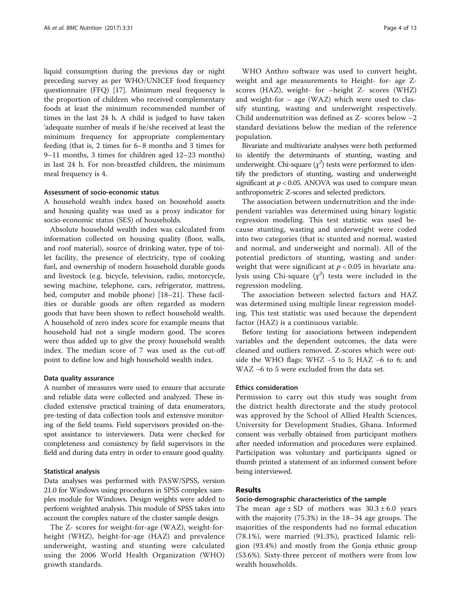liquid consumption during the previous day or night preceding survey as per WHO/UNICEF food frequency questionnaire (FFQ) [\[17\]](#page-11-0). Minimum meal frequency is the proportion of children who received complementary foods at least the minimum recommended number of times in the last 24 h. A child is judged to have taken 'adequate number of meals if he/she received at least the minimum frequency for appropriate complementary feeding (that is, 2 times for 6–8 months and 3 times for 9–11 months, 3 times for children aged 12–23 months) in last 24 h. For non-breastfed children, the minimum meal frequency is 4.

# Assessment of socio-economic status

A household wealth index based on household assets and housing quality was used as a proxy indicator for socio-economic status (SES) of households.

Absolute household wealth index was calculated from information collected on housing quality (floor, walls, and roof material), source of drinking water, type of toilet facility, the presence of electricity, type of cooking fuel, and ownership of modern household durable goods and livestock (e.g. bicycle, television, radio, motorcycle, sewing machine, telephone, cars, refrigerator, mattress, bed, computer and mobile phone) [\[18](#page-11-0)–[21\]](#page-11-0). These facilities or durable goods are often regarded as modern goods that have been shown to reflect household wealth. A household of zero index score for example means that household had not a single modern good. The scores were thus added up to give the proxy household wealth index. The median score of 7 was used as the cut-off point to define low and high household wealth index.

# Data quality assurance

A number of measures were used to ensure that accurate and reliable data were collected and analyzed. These included extensive practical training of data enumerators, pre-testing of data collection tools and extensive monitoring of the field teams. Field supervisors provided on-thespot assistance to interviewers. Data were checked for completeness and consistency by field supervisors in the field and during data entry in order to ensure good quality.

# Statistical analysis

Data analyses was performed with PASW/SPSS, version 21.0 for Windows using procedures in SPSS complex samples module for Windows. Design weights were added to perform weighted analysis. This module of SPSS takes into account the complex nature of the cluster sample design.

The Z- scores for weight-for-age (WAZ), weight-forheight (WHZ), height-for-age (HAZ) and prevalence underweight, wasting and stunting were calculated using the 2006 World Health Organization (WHO) growth standards.

WHO Anthro software was used to convert height, weight and age measurements to Height- for- age Zscores (HAZ), weight- for –height Z- scores (WHZ) and weight-for – age (WAZ) which were used to classify stunting, wasting and underweight respectively. Child undernutrition was defined as Z- scores below −2 standard deviations below the median of the reference population.

Bivariate and multivariate analyses were both performed to identify the determinants of stunting, wasting and underweight. Chi-square  $(\chi^2)$  tests were performed to identify the predictors of stunting, wasting and underweight significant at  $p < 0.05$ . ANOVA was used to compare mean anthropometric Z-scores and selected predictors.

The association between undernutrition and the independent variables was determined using binary logistic regression modeling. This test statistic was used because stunting, wasting and underweight were coded into two categories (that is: stunted and normal, wasted and normal, and underweight and normal). All of the potential predictors of stunting, wasting and underweight that were significant at  $p < 0.05$  in bivariate analysis using Chi-square  $(\chi^2)$  tests were included in the regression modeling.

The association between selected factors and HAZ was determined using multiple linear regression modeling. This test statistic was used because the dependent factor (HAZ) is a continuous variable.

Before testing for associations between independent variables and the dependent outcomes, the data were cleaned and outliers removed. Z-scores which were outside the WHO flags: WHZ −5 to 5; HAZ −6 to 6; and WAZ −6 to 5 were excluded from the data set.

# Ethics consideration

Permission to carry out this study was sought from the district health directorate and the study protocol was approved by the School of Allied Health Sciences, University for Development Studies, Ghana. Informed consent was verbally obtained from participant mothers after needed information and procedures were explained. Participation was voluntary and participants signed or thumb printed a statement of an informed consent before being interviewed.

# Results

# Socio-demographic characteristics of the sample

The mean age  $\pm$  SD of mothers was  $30.3 \pm 6.0$  years with the majority (75.3%) in the 18–34 age groups. The majorities of the respondents had no formal education (78.1%), were married (91.3%), practiced Islamic religion (93.4%) and mostly from the Gonja ethnic group (53.6%). Sixty-three percent of mothers were from low wealth households.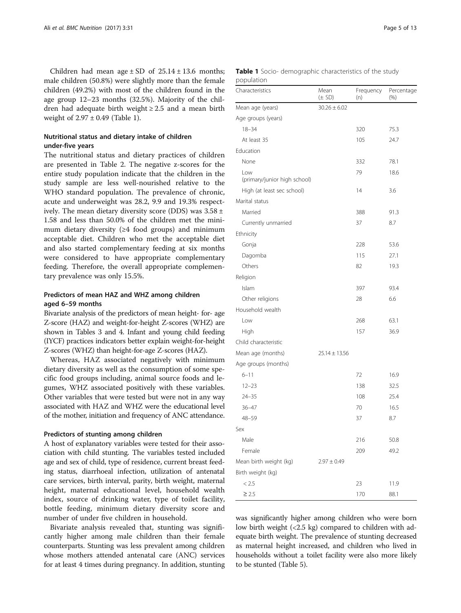Children had mean age  $\pm$  SD of 25.14  $\pm$  13.6 months; male children (50.8%) were slightly more than the female children (49.2%) with most of the children found in the age group 12–23 months (32.5%). Majority of the children had adequate birth weight  $\geq 2.5$  and a mean birth weight of  $2.97 \pm 0.49$  (Table 1).

# Nutritional status and dietary intake of children under-five years

The nutritional status and dietary practices of children are presented in Table [2](#page-5-0). The negative z-scores for the entire study population indicate that the children in the study sample are less well-nourished relative to the WHO standard population. The prevalence of chronic, acute and underweight was 28.2, 9.9 and 19.3% respectively. The mean dietary diversity score (DDS) was 3.58 ± 1.58 and less than 50.0% of the children met the minimum dietary diversity (≥4 food groups) and minimum acceptable diet. Children who met the acceptable diet and also started complementary feeding at six months were considered to have appropriate complementary feeding. Therefore, the overall appropriate complementary prevalence was only 15.5%.

# Predictors of mean HAZ and WHZ among children aged 6–59 months

Bivariate analysis of the predictors of mean height- for- age Z-score (HAZ) and weight-for-height Z-scores (WHZ) are shown in Tables [3](#page-6-0) and [4.](#page-7-0) Infant and young child feeding (IYCF) practices indicators better explain weight-for-height Z-scores (WHZ) than height-for-age Z-scores (HAZ).

Whereas, HAZ associated negatively with minimum dietary diversity as well as the consumption of some specific food groups including, animal source foods and legumes, WHZ associated positively with these variables. Other variables that were tested but were not in any way associated with HAZ and WHZ were the educational level of the mother, initiation and frequency of ANC attendance.

# Predictors of stunting among children

A host of explanatory variables were tested for their association with child stunting. The variables tested included age and sex of child, type of residence, current breast feeding status, diarrhoeal infection, utilization of antenatal care services, birth interval, parity, birth weight, maternal height, maternal educational level, household wealth index, source of drinking water, type of toilet facility, bottle feeding, minimum dietary diversity score and number of under five children in household.

Bivariate analysis revealed that, stunting was significantly higher among male children than their female counterparts. Stunting was less prevalent among children whose mothers attended antenatal care (ANC) services for at least 4 times during pregnancy. In addition, stunting

|            |  | <b>Table 1</b> Socio- demographic characteristics of the study |  |
|------------|--|----------------------------------------------------------------|--|
| population |  |                                                                |  |

| Characteristics                     | Mean<br>$(\pm$ SD) | Frequency<br>(n) | Percentage<br>$(\% )$ |
|-------------------------------------|--------------------|------------------|-----------------------|
| Mean age (years)                    | $30.26 \pm 6.02$   |                  |                       |
| Age groups (years)                  |                    |                  |                       |
| $18 - 34$                           |                    | 320              | 75.3                  |
| At least 35                         |                    | 105              | 24.7                  |
| Education                           |                    |                  |                       |
| None                                |                    | 332              | 78.1                  |
| Low<br>(primary/junior high school) |                    | 79               | 18.6                  |
| High (at least sec school)          |                    | 14               | 3.6                   |
| Marital status                      |                    |                  |                       |
| Married                             |                    | 388              | 91.3                  |
| Currently unmarried                 |                    | 37               | 8.7                   |
| Ethnicity                           |                    |                  |                       |
| Gonja                               |                    | 228              | 53.6                  |
| Dagomba                             |                    | 115              | 27.1                  |
| Others                              |                    | 82               | 19.3                  |
| Religion                            |                    |                  |                       |
| Islam                               |                    | 397              | 93.4                  |
| Other religions                     |                    | 28               | 6.6                   |
| Household wealth                    |                    |                  |                       |
| Low                                 |                    | 268              | 63.1                  |
| High                                |                    | 157              | 36.9                  |
| Child characteristic                |                    |                  |                       |
| Mean age (months)                   | $25.14 \pm 13.56$  |                  |                       |
| Age groups (months)                 |                    |                  |                       |
| $6 - 11$                            |                    | 72               | 16.9                  |
| $12 - 23$                           |                    | 138              | 32.5                  |
| $24 - 35$                           |                    | 108              | 25.4                  |
| 36-47                               |                    | 70               | 16.5                  |
| $48 - 59$                           |                    | 37               | 8.7                   |
| Sex                                 |                    |                  |                       |
| Male                                |                    | 216              | 50.8                  |
| Female                              |                    | 209              | 49.2                  |
| Mean birth weight (kg)              | $2.97 \pm 0.49$    |                  |                       |
| Birth weight (kg)                   |                    |                  |                       |
| < 2.5                               |                    | 23               | 11.9                  |
| $\geq 2.5$                          |                    | 170              | 88.1                  |

was significantly higher among children who were born low birth weight (<2.5 kg) compared to children with adequate birth weight. The prevalence of stunting decreased as maternal height increased, and children who lived in households without a toilet facility were also more likely to be stunted (Table [5](#page-8-0)).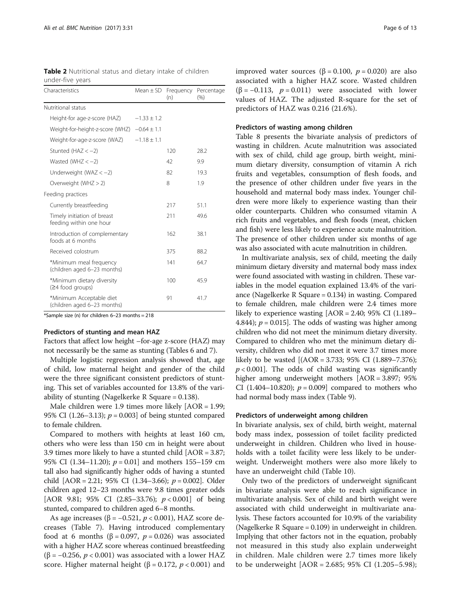<span id="page-5-0"></span>

| <b>Table 2</b> Nutritional status and dietary intake of children |  |  |  |
|------------------------------------------------------------------|--|--|--|
| under-five years                                                 |  |  |  |

| Characteristics                                         | Mean $\pm$ SD   | Frequency<br>(n) | Percentage<br>(9/6) |
|---------------------------------------------------------|-----------------|------------------|---------------------|
| Nutritional status                                      |                 |                  |                     |
| Height-for age-z-score (HAZ)                            | $-1.33 \pm 1.2$ |                  |                     |
| Weight-for-height-z-score (WHZ) $-0.64 \pm 1.1$         |                 |                  |                     |
| Weight-for-age-z-score (WAZ)                            | $-1.18 + 1.1$   |                  |                     |
| Stunted (HAZ $<-2$ )                                    |                 | 120              | 28.2                |
| Wasted (WHZ $<-2$ )                                     |                 | 42               | 9.9                 |
| Underweight (WAZ $<-2$ )                                |                 | 82               | 19.3                |
| Overweight (WHZ $>$ 2)                                  |                 | 8                | 1.9                 |
| Feeding practices                                       |                 |                  |                     |
| Currently breastfeeding                                 |                 | 217              | 51.1                |
| Timely initiation of breast<br>feeding within one hour  |                 | 211              | 49.6                |
| Introduction of complementary<br>foods at 6 months      |                 | 162              | 38.1                |
| Received colostrum                                      |                 | 375              | 88.2                |
| *Minimum meal frequency<br>(children aged 6-23 months)  |                 | 141              | 64.7                |
| *Minimum dietary diversity<br>(≥4 food groups)          |                 | 100              | 45.9                |
| *Minimum Acceptable diet<br>(children aged 6-23 months) |                 | 91               | 41.7                |

\*Sample size (n) for children 6–23 months = 218

# Predictors of stunting and mean HAZ

Factors that affect low height –for-age z-score (HAZ) may not necessarily be the same as stunting (Tables [6](#page-8-0) and [7\)](#page-9-0).

Multiple logistic regression analysis showed that, age of child, low maternal height and gender of the child were the three significant consistent predictors of stunting. This set of variables accounted for 13.8% of the variability of stunting (Nagelkerke R Square = 0.138).

Male children were 1.9 times more likely [AOR = 1.99; 95% CI (1.26–3.13);  $p = 0.003$  of being stunted compared to female children.

Compared to mothers with heights at least 160 cm, others who were less than 150 cm in height were about 3.9 times more likely to have a stunted child [AOR = 3.87; 95% CI (1.34–11.20);  $p = 0.01$  and mothers 155–159 cm tall also had significantly higher odds of having a stunted child  $[AOR = 2.21; 95\% CI (1.34–3.66); p = 0.002]$ . Older children aged 12–23 months were 9.8 times greater odds [AOR 9.81; 95% CI  $(2.85-33.76)$ ;  $p < 0.001$ ] of being stunted, compared to children aged 6–8 months.

As age increases ( $\beta$  = -0.521,  $p$  < 0.001), HAZ score decreases (Table [7\)](#page-9-0). Having introduced complementary food at 6 months ( $\beta$  = 0.097,  $p$  = 0.026) was associated with a higher HAZ score whereas continued breastfeeding ( $\beta$  = -0.256, p < 0.001) was associated with a lower HAZ score. Higher maternal height (β = 0.172,  $p$  < 0.001) and improved water sources (β = 0.100,  $p = 0.020$ ) are also associated with a higher HAZ score. Wasted children  $(\beta = -0.113, p = 0.011)$  were associated with lower values of HAZ. The adjusted R-square for the set of predictors of HAZ was 0.216 (21.6%).

# Predictors of wasting among children

Table [8](#page-9-0) presents the bivariate analysis of predictors of wasting in children. Acute malnutrition was associated with sex of child, child age group, birth weight, minimum dietary diversity, consumption of vitamin A rich fruits and vegetables, consumption of flesh foods, and the presence of other children under five years in the household and maternal body mass index. Younger children were more likely to experience wasting than their older counterparts. Children who consumed vitamin A rich fruits and vegetables, and flesh foods (meat, chicken and fish) were less likely to experience acute malnutrition. The presence of other children under six months of age was also associated with acute malnutrition in children.

In multivariate analysis, sex of child, meeting the daily minimum dietary diversity and maternal body mass index were found associated with wasting in children. These variables in the model equation explained 13.4% of the variance (Nagelkerke R Square = 0.134) in wasting. Compared to female children, male children were 2.4 times more likely to experience wasting  $[AOR = 2.40; 95\% \text{ CI } (1.189 -$ 4.844);  $p = 0.015$ . The odds of wasting was higher among children who did not meet the minimum dietary diversity. Compared to children who met the minimum dietary diversity, children who did not meet it were 3.7 times more likely to be wasted [(AOR = 3.733; 95% CI (1.889–7.376);  $p < 0.001$ . The odds of child wasting was significantly higher among underweight mothers [AOR = 3.897; 95% CI (1.404–10.820);  $p = 0.009$  compared to mothers who had normal body mass index (Table [9](#page-9-0)).

# Predictors of underweight among children

In bivariate analysis, sex of child, birth weight, maternal body mass index, possession of toilet facility predicted underweight in children. Children who lived in households with a toilet facility were less likely to be underweight. Underweight mothers were also more likely to have an underweight child (Table [10\)](#page-10-0).

Only two of the predictors of underweight significant in bivariate analysis were able to reach significance in multivariate analysis. Sex of child and birth weight were associated with child underweight in multivariate analysis. These factors accounted for 10.9% of the variability (Nagelkerke R Square = 0.109) in underweight in children. Implying that other factors not in the equation, probably not measured in this study also explain underweight in children. Male children were 2.7 times more likely to be underweight [AOR = 2.685; 95% CI (1.205–5.98);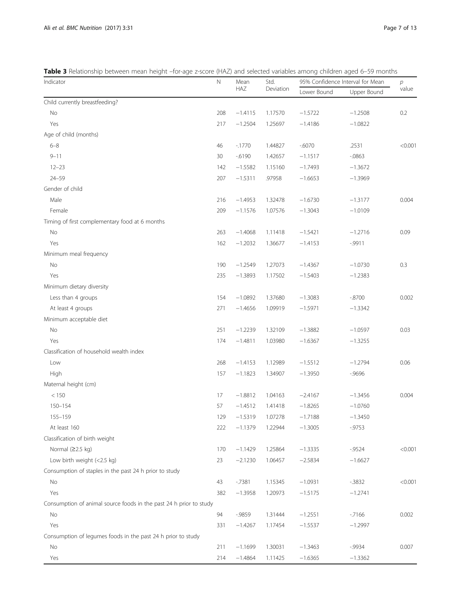<span id="page-6-0"></span>Table 3 Relationship between mean height –for-age z-score (HAZ) and selected variables among children aged 6–59 months

| Indicator                                                          | $\mathbb N$ | Mean       | Std.      | 95% Confidence Interval for Mean | р           |         |
|--------------------------------------------------------------------|-------------|------------|-----------|----------------------------------|-------------|---------|
|                                                                    |             | <b>HAZ</b> | Deviation | Lower Bound                      | Upper Bound | value   |
| Child currently breastfeeding?                                     |             |            |           |                                  |             |         |
| No                                                                 | 208         | $-1.4115$  | 1.17570   | $-1.5722$                        | $-1.2508$   | 0.2     |
| Yes                                                                | 217         | $-1.2504$  | 1.25697   | $-1.4186$                        | $-1.0822$   |         |
| Age of child (months)                                              |             |            |           |                                  |             |         |
| $6 - 8$                                                            | 46          | $-1770$    | 1.44827   | $-6070$                          | .2531       | < 0.001 |
| $9 - 11$                                                           | 30          | $-0.6190$  | 1.42657   | $-1.1517$                        | $-0.0863$   |         |
| $12 - 23$                                                          | 142         | $-1.5582$  | 1.15160   | $-1.7493$                        | $-1.3672$   |         |
| $24 - 59$                                                          | 207         | $-1.5311$  | .97958    | $-1.6653$                        | $-1.3969$   |         |
| Gender of child                                                    |             |            |           |                                  |             |         |
| Male                                                               | 216         | $-1.4953$  | 1.32478   | $-1.6730$                        | $-1.3177$   | 0.004   |
| Female                                                             | 209         | $-1.1576$  | 1.07576   | $-1.3043$                        | $-1.0109$   |         |
| Timing of first complementary food at 6 months                     |             |            |           |                                  |             |         |
| No                                                                 | 263         | $-1.4068$  | 1.11418   | $-1.5421$                        | $-1.2716$   | 0.09    |
| Yes                                                                | 162         | $-1.2032$  | 1.36677   | $-1.4153$                        | $-0.9911$   |         |
| Minimum meal frequency                                             |             |            |           |                                  |             |         |
| No                                                                 | 190         | $-1.2549$  | 1.27073   | $-1.4367$                        | $-1.0730$   | 0.3     |
| Yes                                                                | 235         | $-1.3893$  | 1.17502   | $-1.5403$                        | $-1.2383$   |         |
| Minimum dietary diversity                                          |             |            |           |                                  |             |         |
| Less than 4 groups                                                 | 154         | $-1.0892$  | 1.37680   | $-1.3083$                        | $-0.8700$   | 0.002   |
| At least 4 groups                                                  | 271         | $-1.4656$  | 1.09919   | $-1.5971$                        | $-1.3342$   |         |
| Minimum acceptable diet                                            |             |            |           |                                  |             |         |
| No                                                                 | 251         | $-1.2239$  | 1.32109   | $-1.3882$                        | $-1.0597$   | 0.03    |
| Yes                                                                | 174         | $-1.4811$  | 1.03980   | $-1.6367$                        | $-1.3255$   |         |
| Classification of household wealth index                           |             |            |           |                                  |             |         |
| Low                                                                | 268         | $-1.4153$  | 1.12989   | $-1.5512$                        | $-1.2794$   | 0.06    |
| High                                                               | 157         | $-1.1823$  | 1.34907   | $-1.3950$                        | $-0.9696$   |         |
| Maternal height (cm)                                               |             |            |           |                                  |             |         |
| $<150\,$                                                           | 17          | $-1.8812$  | 1.04163   | $-2.4167$                        | $-1.3456$   | 0.004   |
| 150-154                                                            | 57          | $-1.4512$  | 1.41418   | $-1.8265$                        | $-1.0760$   |         |
| 155-159                                                            | 129         | $-1.5319$  | 1.07278   | $-1.7188$                        | $-1.3450$   |         |
| At least 160                                                       | 222         | $-1.1379$  | 1.22944   | $-1.3005$                        | $-0.9753$   |         |
| Classification of birth weight                                     |             |            |           |                                  |             |         |
| Normal (≥2.5 kg)                                                   | 170         | $-1.1429$  | 1.25864   | $-1.3335$                        | $-0.9524$   | < 0.001 |
| Low birth weight (<2.5 kg)                                         | 23          | $-2.1230$  | 1.06457   | $-2.5834$                        | $-1.6627$   |         |
| Consumption of staples in the past 24 h prior to study             |             |            |           |                                  |             |         |
| No                                                                 | 43          | $-7381$    | 1.15345   | $-1.0931$                        | $-3832$     | < 0.001 |
| Yes                                                                | 382         | $-1.3958$  | 1.20973   | $-1.5175$                        | $-1.2741$   |         |
| Consumption of animal source foods in the past 24 h prior to study |             |            |           |                                  |             |         |
| No                                                                 | 94          | $-0.9859$  | 1.31444   | $-1.2551$                        | $-7166$     | 0.002   |
| Yes                                                                | 331         | $-1.4267$  | 1.17454   | $-1.5537$                        | $-1.2997$   |         |
| Consumption of legumes foods in the past 24 h prior to study       |             |            |           |                                  |             |         |
| No                                                                 | 211         | $-1.1699$  | 1.30031   | $-1.3463$                        | $-9934$     | 0.007   |
| Yes                                                                | 214         | $-1.4864$  | 1.11425   | $-1.6365$                        | $-1.3362$   |         |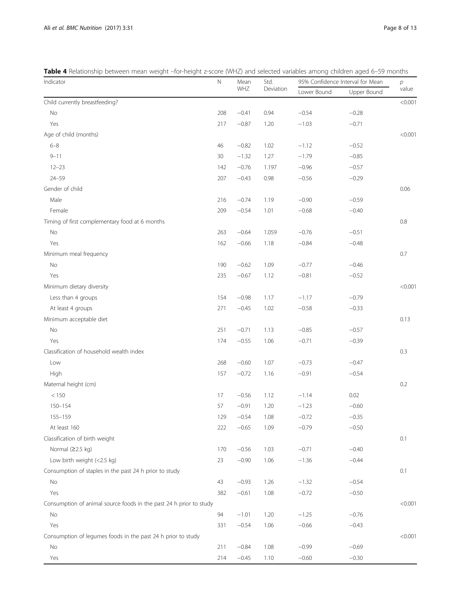<span id="page-7-0"></span>Table 4 Relationship between mean weight -for-height z-score (WHZ) and selected variables among children aged 6-59 months

| Indicator                                                          | $\mathbb N$ | Mean<br>WHZ | Std.      | 95% Confidence Interval for Mean |             | р       |
|--------------------------------------------------------------------|-------------|-------------|-----------|----------------------------------|-------------|---------|
|                                                                    |             |             | Deviation | Lower Bound                      | Upper Bound | value   |
| Child currently breastfeeding?                                     |             |             |           |                                  |             | < 0.001 |
| No                                                                 | 208         | $-0.41$     | 0.94      | $-0.54$                          | $-0.28$     |         |
| Yes                                                                | 217         | $-0.87$     | 1.20      | $-1.03$                          | $-0.71$     |         |
| Age of child (months)                                              |             |             |           |                                  |             | < 0.001 |
| $6 - 8$                                                            | 46          | $-0.82$     | 1.02      | $-1.12$                          | $-0.52$     |         |
| $9 - 11$                                                           | 30          | $-1.32$     | 1.27      | $-1.79$                          | $-0.85$     |         |
| $12 - 23$                                                          | 142         | $-0.76$     | 1.197     | $-0.96$                          | $-0.57$     |         |
| $24 - 59$                                                          | 207         | $-0.43$     | 0.98      | $-0.56$                          | $-0.29$     |         |
| Gender of child                                                    |             |             |           |                                  |             | 0.06    |
| Male                                                               | 216         | $-0.74$     | 1.19      | $-0.90$                          | $-0.59$     |         |
| Female                                                             | 209         | $-0.54$     | 1.01      | $-0.68$                          | $-0.40$     |         |
| Timing of first complementary food at 6 months                     |             |             |           |                                  |             | 0.8     |
| No                                                                 | 263         | $-0.64$     | 1.059     | $-0.76$                          | $-0.51$     |         |
| Yes                                                                | 162         | $-0.66$     | 1.18      | $-0.84$                          | $-0.48$     |         |
| Minimum meal frequency                                             |             |             |           |                                  |             | 0.7     |
| No                                                                 | 190         | $-0.62$     | 1.09      | $-0.77$                          | $-0.46$     |         |
| Yes                                                                | 235         | $-0.67$     | 1.12      | $-0.81$                          | $-0.52$     |         |
| Minimum dietary diversity                                          |             |             |           |                                  |             | < 0.001 |
| Less than 4 groups                                                 | 154         | $-0.98$     | 1.17      | $-1.17$                          | $-0.79$     |         |
| At least 4 groups                                                  | 271         | $-0.45$     | 1.02      | $-0.58$                          | $-0.33$     |         |
| Minimum acceptable diet                                            |             |             |           |                                  |             | 0.13    |
| No                                                                 | 251         | $-0.71$     | 1.13      | $-0.85$                          | $-0.57$     |         |
| Yes                                                                | 174         | $-0.55$     | 1.06      | $-0.71$                          | $-0.39$     |         |
| Classification of household wealth index                           |             |             |           |                                  |             | 0.3     |
| Low                                                                | 268         | $-0.60$     | 1.07      | $-0.73$                          | $-0.47$     |         |
| High                                                               | 157         | $-0.72$     | 1.16      | $-0.91$                          | $-0.54$     |         |
| Maternal height (cm)                                               |             |             |           |                                  |             | 0.2     |
| $<150\,$                                                           | 17          | $-0.56$     | 1.12      | $-1.14$                          | 0.02        |         |
| 150-154                                                            | 57          | $-0.91$     | 1.20      | $-1.23$                          | $-0.60$     |         |
| 155-159                                                            | 129         | $-0.54$     | 1.08      | $-0.72$                          | $-0.35$     |         |
| At least 160                                                       | 222         | $-0.65$     | 1.09      | $-0.79$                          | $-0.50$     |         |
| Classification of birth weight                                     |             |             |           |                                  |             | 0.1     |
| Normal (≥2.5 kg)                                                   | 170         | $-0.56$     | 1.03      | $-0.71$                          | $-0.40$     |         |
| Low birth weight (<2.5 kg)                                         | 23          | $-0.90$     | 1.06      | $-1.36$                          | $-0.44$     |         |
| Consumption of staples in the past 24 h prior to study             |             |             |           |                                  |             | 0.1     |
| No                                                                 | 43          | $-0.93$     | 1.26      | $-1.32$                          | $-0.54$     |         |
| Yes                                                                | 382         | $-0.61$     | 1.08      | $-0.72$                          | $-0.50$     |         |
| Consumption of animal source foods in the past 24 h prior to study |             |             |           |                                  |             | < 0.001 |
| No                                                                 | 94          | $-1.01$     | 1.20      | $-1.25$                          | $-0.76$     |         |
| Yes                                                                | 331         | $-0.54$     | 1.06      | $-0.66$                          | $-0.43$     |         |
| Consumption of legumes foods in the past 24 h prior to study       |             |             |           |                                  |             | < 0.001 |
| No                                                                 | 211         | $-0.84$     | 1.08      | $-0.99$                          | $-0.69$     |         |
| Yes                                                                | 214         | $-0.45$     | 1.10      | $-0.60$                          | $-0.30$     |         |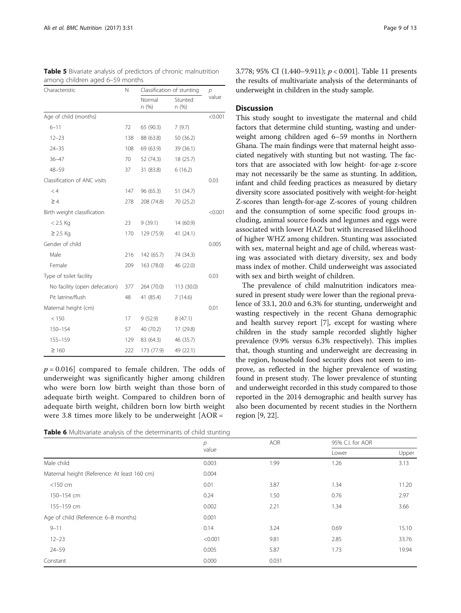| Characteristic                | N   | Classification of stunting | р                |         |
|-------------------------------|-----|----------------------------|------------------|---------|
|                               |     | Normal<br>n(%)             | Stunted<br>n (%) | value   |
| Age of child (months)         |     |                            |                  | < 0.001 |
| $6 - 11$                      | 72  | 65 (90.3)                  | 7(9.7)           |         |
| $12 - 23$                     | 138 | 88 (63.8)                  | 50 (36.2)        |         |
| $24 - 35$                     | 108 | 69 (63.9)                  | 39 (36.1)        |         |
| $36 - 47$                     | 70  | 52 (74.3)                  | 18 (25.7)        |         |
| $48 - 59$                     | 37  | 31 (83.8)                  | 6(16.2)          |         |
| Classification of ANC visits  |     |                            |                  | 0.03    |
| < 4                           | 147 | 96 (65.3)                  | 51 (34.7)        |         |
| $\geq 4$                      | 278 | 208 (74.8)                 | 70 (25.2)        |         |
| Birth weight classification   |     |                            |                  | < 0.001 |
| $< 2.5$ Kg                    | 23  | 9(39.1)                    | 14 (60.9)        |         |
| $\geq$ 2.5 Kg                 | 170 | 129 (75.9)                 | 41 (24.1)        |         |
| Gender of child               |     |                            |                  | 0.005   |
| Male                          | 216 | 142 (65.7)                 | 74 (34.3)        |         |
| Female                        | 209 | 163 (78.0)                 | 46 (22.0)        |         |
| Type of toilet facility       |     |                            |                  | 0.03    |
| No facility (open defecation) | 377 | 264 (70.0)                 | 113 (30.0)       |         |
| Pit latrine/flush             | 48  | 41 (85.4)                  | 7(14.6)          |         |
| Maternal height (cm)          |     |                            |                  | 0.01    |
| < 150                         | 17  | 9(52.9)                    | 8(47.1)          |         |
| 150-154                       | 57  | 40 (70.2)                  | 17 (29.8)        |         |
| 155-159                       | 129 | 83 (64.3)                  | 46 (35.7)        |         |
| $\geq 160$                    | 222 | 173 (77.9)                 | 49 (22.1)        |         |

<span id="page-8-0"></span>Table 5 Bivariate analysis of predictors of chronic malnutrition among children aged 6–59 months

 $p = 0.016$  compared to female children. The odds of underweight was significantly higher among children who were born low birth weight than those born of adequate birth weight. Compared to children born of adequate birth weight, children born low birth weight were 3.8 times more likely to be underweight [AOR =

| <b>Table 6</b> Multivariate analysis of the determinants of child stunting |  |  |
|----------------------------------------------------------------------------|--|--|
|----------------------------------------------------------------------------|--|--|

3.778; 95% CI (1.440–9.911); p < 0.001]. Table [11](#page-10-0) presents the results of multivariate analysis of the determinants of underweight in children in the study sample.

# **Discussion**

This study sought to investigate the maternal and child factors that determine child stunting, wasting and underweight among children aged 6–59 months in Northern Ghana. The main findings were that maternal height associated negatively with stunting but not wasting. The factors that are associated with low height- for-age z-score may not necessarily be the same as stunting. In addition, infant and child feeding practices as measured by dietary diversity score associated positively with weight-for-height Z-scores than length-for-age Z-scores of young children and the consumption of some specific food groups including, animal source foods and legumes and eggs were associated with lower HAZ but with increased likelihood of higher WHZ among children. Stunting was associated with sex, maternal height and age of child, whereas wasting was associated with dietary diversity, sex and body mass index of mother. Child underweight was associated with sex and birth weight of children.

The prevalence of child malnutrition indicators measured in present study were lower than the regional prevalence of 33.1, 20.0 and 6.3% for stunting, underweight and wasting respectively in the recent Ghana demographic and health survey report [\[7](#page-11-0)], except for wasting where children in the study sample recorded slightly higher prevalence (9.9% versus 6.3% respectively). This implies that, though stunting and underweight are decreasing in the region, household food security does not seem to improve, as reflected in the higher prevalence of wasting found in present study. The lower prevalence of stunting and underweight recorded in this study compared to those reported in the 2014 demographic and health survey has also been documented by recent studies in the Northern region [[9, 22\]](#page-11-0).

|                                              | $\mathcal{P}$<br>value | <b>AOR</b> | 95% C.I. for AOR |       |
|----------------------------------------------|------------------------|------------|------------------|-------|
|                                              |                        |            | Lower            | Upper |
| Male child                                   | 0.003                  | 1.99       | 1.26             | 3.13  |
| Maternal height (Reference: At least 160 cm) | 0.004                  |            |                  |       |
| $<$ 150 cm                                   | 0.01                   | 3.87       | 1.34             | 11.20 |
| 150-154 cm                                   | 0.24                   | 1.50       | 0.76             | 2.97  |
| 155-159 cm                                   | 0.002                  | 2.21       | 1.34             | 3.66  |
| Age of child (Reference: 6-8 months)         | 0.001                  |            |                  |       |
| $9 - 11$                                     | 0.14                   | 3.24       | 0.69             | 15.10 |
| $12 - 23$                                    | < 0.001                | 9.81       | 2.85             | 33.76 |
| $24 - 59$                                    | 0.005                  | 5.87       | 1.73             | 19.94 |
| Constant                                     | 0.000                  | 0.031      |                  |       |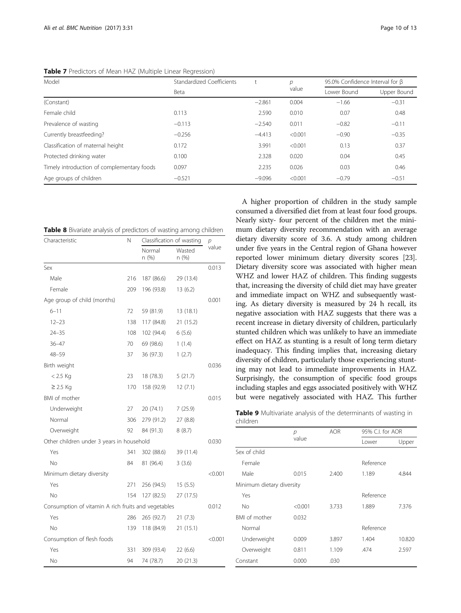| Model                                      | Standardized Coefficients |          | $\mathcal{D}$ |             | 95.0% Confidence Interval for β |  |
|--------------------------------------------|---------------------------|----------|---------------|-------------|---------------------------------|--|
|                                            | Beta                      |          | value         | Lower Bound | Upper Bound                     |  |
| (Constant)                                 |                           | $-2.861$ | 0.004         | $-1.66$     | $-0.31$                         |  |
| Female child                               | 0.113                     | 2.590    | 0.010         | 0.07        | 0.48                            |  |
| Prevalence of wasting                      | $-0.113$                  | $-2.540$ | 0.011         | $-0.82$     | $-0.11$                         |  |
| Currently breastfeeding?                   | $-0.256$                  | $-4.413$ | < 0.001       | $-0.90$     | $-0.35$                         |  |
| Classification of maternal height          | 0.172                     | 3.991    | < 0.001       | 0.13        | 0.37                            |  |
| Protected drinking water                   | 0.100                     | 2.328    | 0.020         | 0.04        | 0.45                            |  |
| Timely introduction of complementary foods | 0.097                     | 2.235    | 0.026         | 0.03        | 0.46                            |  |
| Age groups of children                     | $-0.521$                  | $-9.096$ | < 0.001       | $-0.79$     | $-0.51$                         |  |

<span id="page-9-0"></span>Table 7 Predictors of Mean HAZ (Multiple Linear Regression)

Table 8 Bivariate analysis of predictors of wasting among children

| Characteristic                                      | Ν   | Classification of wasting | р               |         |  |  |
|-----------------------------------------------------|-----|---------------------------|-----------------|---------|--|--|
|                                                     |     | Normal<br>n (%)           | Wasted<br>n (%) | value   |  |  |
| Sex                                                 |     |                           |                 | 0.013   |  |  |
| Male                                                | 216 | 187 (86.6)                | 29 (13.4)       |         |  |  |
| Female                                              | 209 | 196 (93.8)                | 13(6.2)         |         |  |  |
| Age group of child (months)                         |     |                           |                 | 0.001   |  |  |
| $6 - 11$                                            | 72  | 59 (81.9)                 | 13 (18.1)       |         |  |  |
| $12 - 23$                                           | 138 | 117 (84.8)                | 21 (15.2)       |         |  |  |
| $24 - 35$                                           | 108 | 102 (94.4)                | 6(5.6)          |         |  |  |
| $36 - 47$                                           | 70  | 69 (98.6)                 | 1(1.4)          |         |  |  |
| 48-59                                               | 37  | 36 (97.3)                 | 1(2.7)          |         |  |  |
| Birth weight                                        |     |                           |                 | 0.036   |  |  |
| $< 2.5$ Kg                                          | 23  | 18 (78.3)                 | 5(21.7)         |         |  |  |
| $\geq$ 2.5 Kg                                       | 170 | 158 (92.9)                | 12(7.1)         |         |  |  |
| <b>BMI</b> of mother                                |     |                           |                 | 0.015   |  |  |
| Underweight                                         | 27  | 20 (74.1)                 | 7(25.9)         |         |  |  |
| Normal                                              | 306 | 279 (91.2)                | 27 (8.8)        |         |  |  |
| Overweight                                          | 92  | 84 (91.3)                 | 8(8.7)          |         |  |  |
| Other children under 3 years in household           |     |                           |                 | 0.030   |  |  |
| Yes                                                 | 341 | 302 (88.6)                | 39 (11.4)       |         |  |  |
| No                                                  | 84  | 81 (96.4)                 | 3(3.6)          |         |  |  |
| Minimum dietary diversity                           |     |                           |                 | < 0.001 |  |  |
| Yes                                                 | 271 | 256 (94.5)                | 15(5.5)         |         |  |  |
| No.                                                 | 154 | 127 (82.5)                | 27 (17.5)       |         |  |  |
| Consumption of vitamin A rich fruits and vegetables |     |                           |                 |         |  |  |
| Yes                                                 | 286 | 265 (92.7)                | 21(7.3)         |         |  |  |
| No.                                                 | 139 | 118 (84.9)                | 21 (15.1)       |         |  |  |
| Consumption of flesh foods                          |     |                           |                 | < 0.001 |  |  |
| Yes                                                 | 331 | 309 (93.4)                | 22(6.6)         |         |  |  |
| No                                                  | 94  | 74 (78.7)                 | 20 (21.3)       |         |  |  |

A higher proportion of children in the study sample consumed a diversified diet from at least four food groups. Nearly sixty- four percent of the children met the minimum dietary diversity recommendation with an average dietary diversity score of 3.6. A study among children under five years in the Central region of Ghana however reported lower minimum dietary diversity scores [[23](#page-11-0)]. Dietary diversity score was associated with higher mean WHZ and lower HAZ of children. This finding suggests that, increasing the diversity of child diet may have greater and immediate impact on WHZ and subsequently wasting. As dietary diversity is measured by 24 h recall, its negative association with HAZ suggests that there was a recent increase in dietary diversity of children, particularly stunted children which was unlikely to have an immediate effect on HAZ as stunting is a result of long term dietary inadequacy. This finding implies that, increasing dietary diversity of children, particularly those experiencing stunting may not lead to immediate improvements in HAZ. Surprisingly, the consumption of specific food groups including staples and eggs associated positively with WHZ but were negatively associated with HAZ. This further

Table 9 Multivariate analysis of the determinants of wasting in children

|                           | р       | <b>AOR</b> | 95% C.I. for AOR |        |
|---------------------------|---------|------------|------------------|--------|
|                           | value   |            | Lower            | Upper  |
| Sex of child              |         |            |                  |        |
| Female                    |         |            | Reference        |        |
| Male                      | 0.015   | 2.400      | 1.189            | 4.844  |
| Minimum dietary diversity |         |            |                  |        |
| Yes                       |         |            | Reference        |        |
| No                        | < 0.001 | 3.733      | 1.889            | 7.376  |
| <b>BMI</b> of mother      | 0.032   |            |                  |        |
| Normal                    |         |            | Reference        |        |
| Underweight               | 0.009   | 3.897      | 1.404            | 10.820 |
| Overweight                | 0.811   | 1.109      | .474             | 2.597  |
| Constant                  | 0.000   | .030       |                  |        |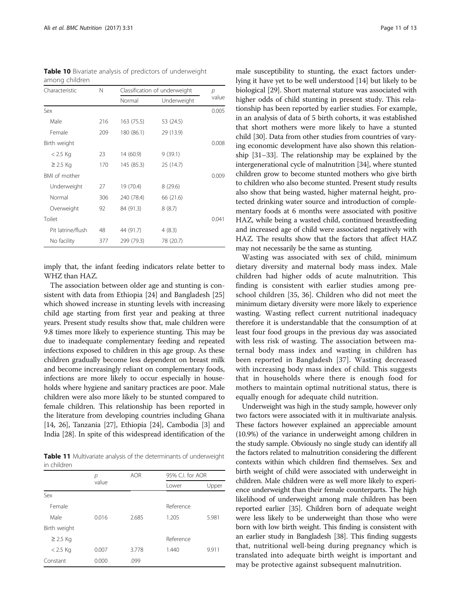<span id="page-10-0"></span>Table 10 Bivariate analysis of predictors of underweight among children

| Characteristic       | N   | Classification of underweight |             | р     |
|----------------------|-----|-------------------------------|-------------|-------|
|                      |     | Normal                        | Underweight | value |
| Sex                  |     |                               |             | 0.005 |
| Male                 | 216 | 163 (75.5)                    | 53 (24.5)   |       |
| Female               | 209 | 180 (86.1)                    | 29 (13.9)   |       |
| Birth weight         |     |                               |             | 0.008 |
| $< 2.5$ Kg           | 23  | 14 (60.9)                     | 9(39.1)     |       |
| $\geq$ 2.5 Kg        | 170 | 145 (85.3)                    | 25 (14.7)   |       |
| <b>BMI</b> of mother |     |                               |             | 0.009 |
| Underweight          | 27  | 19 (70.4)                     | 8(29.6)     |       |
| Normal               | 306 | 240 (78.4)                    | 66 (21.6)   |       |
| Overweight           | 92  | 84 (91.3)                     | 8(8.7)      |       |
| Toilet               |     |                               |             | 0.041 |
| Pit latrine/flush    | 48  | 44 (91.7)                     | 4(8.3)      |       |
| No facility          | 377 | 299 (79.3)                    | 78 (20.7)   |       |

imply that, the infant feeding indicators relate better to WHZ than HAZ.

The association between older age and stunting is consistent with data from Ethiopia [[24\]](#page-12-0) and Bangladesh [[25](#page-12-0)] which showed increase in stunting levels with increasing child age starting from first year and peaking at three years. Present study results show that, male children were 9.8 times more likely to experience stunting. This may be due to inadequate complementary feeding and repeated infections exposed to children in this age group. As these children gradually become less dependent on breast milk and become increasingly reliant on complementary foods, infections are more likely to occur especially in households where hygiene and sanitary practices are poor. Male children were also more likely to be stunted compared to female children. This relationship has been reported in the literature from developing countries including Ghana [[14](#page-11-0), [26](#page-12-0)], Tanzania [\[27\]](#page-12-0), Ethiopia [[24](#page-12-0)], Cambodia [[3](#page-11-0)] and India [\[28\]](#page-12-0). In spite of this widespread identification of the

Table 11 Multivariate analysis of the determinants of underweight in children

|               | р     | <b>AOR</b> | 95% C.I. for AOR |       |
|---------------|-------|------------|------------------|-------|
|               | value |            | l ower           | Upper |
| Sex           |       |            |                  |       |
| Female        |       |            | Reference        |       |
| Male          | 0.016 | 2.685      | 1.205            | 5.981 |
| Birth weight  |       |            |                  |       |
| $\geq$ 2.5 Kg |       |            | Reference        |       |
| $< 2.5$ Kg    | 0.007 | 3.778      | 1.440            | 9.911 |
| Constant      | 0.000 | .099       |                  |       |

male susceptibility to stunting, the exact factors underlying it have yet to be well understood [\[14\]](#page-11-0) but likely to be biological [[29\]](#page-12-0). Short maternal stature was associated with higher odds of child stunting in present study. This relationship has been reported by earlier studies. For example, in an analysis of data of 5 birth cohorts, it was established that short mothers were more likely to have a stunted child [\[30\]](#page-12-0). Data from other studies from countries of varying economic development have also shown this relationship [[31](#page-12-0)–[33\]](#page-12-0). The relationship may be explained by the intergenerational cycle of malnutrition [\[34\]](#page-12-0), where stunted children grow to become stunted mothers who give birth to children who also become stunted. Present study results also show that being wasted, higher maternal height, protected drinking water source and introduction of complementary foods at 6 months were associated with positive HAZ, while being a wasted child, continued breastfeeding and increased age of child were associated negatively with HAZ. The results show that the factors that affect HAZ may not necessarily be the same as stunting.

Wasting was associated with sex of child, minimum dietary diversity and maternal body mass index. Male children had higher odds of acute malnutrition. This finding is consistent with earlier studies among preschool children [[35](#page-12-0), [36\]](#page-12-0). Children who did not meet the minimum dietary diversity were more likely to experience wasting. Wasting reflect current nutritional inadequacy therefore it is understandable that the consumption of at least four food groups in the previous day was associated with less risk of wasting. The association between maternal body mass index and wasting in children has been reported in Bangladesh [[37\]](#page-12-0). Wasting decreased with increasing body mass index of child. This suggests that in households where there is enough food for mothers to maintain optimal nutritional status, there is equally enough for adequate child nutrition.

Underweight was high in the study sample, however only two factors were associated with it in multivariate analysis. These factors however explained an appreciable amount (10.9%) of the variance in underweight among children in the study sample. Obviously no single study can identify all the factors related to malnutrition considering the different contexts within which children find themselves. Sex and birth weight of child were associated with underweight in children. Male children were as well more likely to experience underweight than their female counterparts. The high likelihood of underweight among male children has been reported earlier [\[35\]](#page-12-0). Children born of adequate weight were less likely to be underweight than those who were born with low birth weight. This finding is consistent with an earlier study in Bangladesh [[38](#page-12-0)]. This finding suggests that, nutritional well-being during pregnancy which is translated into adequate birth weight is important and may be protective against subsequent malnutrition.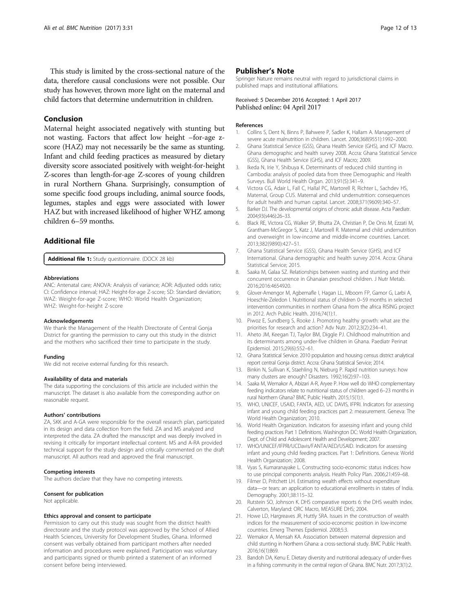<span id="page-11-0"></span>study has however, thrown more light on the maternal and child factors that determine undernutrition in children.

# Conclusion

Maternal height associated negatively with stunting but not wasting. Factors that affect low height –for-age zscore (HAZ) may not necessarily be the same as stunting. Infant and child feeding practices as measured by dietary diversity score associated positively with weight-for-height Z-scores than length-for-age Z-scores of young children in rural Northern Ghana. Surprisingly, consumption of some specific food groups including, animal source foods, legumes, staples and eggs were associated with lower HAZ but with increased likelihood of higher WHZ among children 6–59 months.

# Additional file

[Additional file 1:](dx.doi.org/10.1186/s40795-017-0154-2) Study questionnaire. (DOCX 28 kb)

# Abbreviations

ANC: Antenatal care; ANOVA: Analysis of variance; AOR: Adjusted odds ratio; CI: Confidence interval; HAZ: Height-for-age Z-score; SD: Standard deviation; WAZ: Weight-for-age Z-score; WHO: World Health Organization; WHZ: Weight-for-height Z-score

#### Acknowledgements

We thank the Management of the Health Directorate of Central Gonja District for granting the permission to carry out this study in the district and the mothers who sacrificed their time to participate in the study.

#### Funding

We did not receive external funding for this research.

#### Availability of data and materials

The data supporting the conclusions of this article are included within the manuscript. The dataset is also available from the corresponding author on reasonable request.

# Authors' contributions

ZA, SKK and A-GA were responsible for the overall research plan, participated in its design and data collection from the field. ZA and MS analyzed and interpreted the data. ZA drafted the manuscript and was deeply involved in revising it critically for important intellectual content. MS and A-RA provided technical support for the study design and critically commented on the draft manuscript. All authors read and approved the final manuscript.

# Competing interests

The authors declare that they have no competing interests.

### Consent for publication

Not applicable.

# Ethics approval and consent to participate

Permission to carry out this study was sought from the district health directorate and the study protocol was approved by the School of Allied Health Sciences, University for Development Studies, Ghana. Informed consent was verbally obtained from participant mothers after needed information and procedures were explained. Participation was voluntary and participants signed or thumb printed a statement of an informed consent before being interviewed.

# Publisher's Note

Springer Nature remains neutral with regard to jurisdictional claims in published maps and institutional affiliations.

# Received: 5 December 2016 Accepted: 1 April 2017 Published online: 04 April 2017

### References

- 1. Collins S, Dent N, Binns P, Bahwere P, Sadler K, Hallam A. Management of severe acute malnutrition in children. Lancet. 2006;368(9551):1992–2000.
- 2. Ghana Statistical Service (GSS), Ghana Health Service (GHS), and ICF Macro. Ghana demographic and health survey 2008. Accra: Ghana Statistical Service (GSS), Ghana Health Service (GHS), and ICF Macro; 2009.
- Ikeda N, Irie Y, Shibuya K. Determinants of reduced child stunting in Cambodia: analysis of pooled data from three Demographic and Health Surveys. Bull World Health Organ. 2013;91(5):341–9.
- 4. Victora CG, Adair L, Fall C, Hallal PC, Martorell R, Richter L, Sachdev HS, Maternal, Group CUS. Maternal and child undernutrition: consequences for adult health and human capital. Lancet. 2008;371(9609):340–57.
- 5. Barker DJ. The developmental origins of chronic adult disease. Acta Paediatr. 2004;93(s446):26–33.
- 6. Black RE, Victora CG, Walker SP, Bhutta ZA, Christian P, De Onis M, Ezzati M, Grantham-McGregor S, Katz J, Martorell R. Maternal and child undernutrition and overweight in low-income and middle-income countries. Lancet. 2013;382(9890):427–51.
- 7. Ghana Statistical Service (GSS), Ghana Health Service (GHS), and ICF International. Ghana demographic and health survey 2014. Accra: Ghana Statistical Service; 2015.
- Saaka M, Galaa SZ. Relationships between wasting and stunting and their concurrent occurrence in Ghanaian preschool children. J Nutr Metab. 2016;2016:4654920.
- 9. Glover-Amengor M, Agbemafle I, Hagan LL, Mboom FP, Gamor G, Larbi A, Hoeschle-Zeledon I. Nutritional status of children 0–59 months in selected intervention communities in northern Ghana from the africa RISING project in 2012. Arch Public Health. 2016;74(1):1.
- 10. Piwoz E, Sundberg S, Rooke J. Promoting healthy growth: what are the priorities for research and action? Adv Nutr. 2012;3(2):234–41.
- 11. Aheto JM, Keegan TJ, Taylor BM, Diggle PJ. Childhood malnutrition and its determinants among under-five children in Ghana. Paediatr Perinat Epidemiol. 2015;29(6):552–61.
- 12. Ghana Statistical Service. 2010 population and housing census district analytical report central Gonja district. Accra: Ghana Statistical Service; 2014.
- 13. Binkin N, Sullivan K, Staehling N, Nieburg P. Rapid nutrition surveys: how many clusters are enough? Disasters. 1992;16(2):97–103.
- 14. Saaka M, Wemakor A, Abizari A-R, Aryee P. How well do WHO complementary feeding indicators relate to nutritional status of children aged 6–23 months in rural Northern Ghana? BMC Public Health. 2015;15(1):1.
- 15. WHO, UNICEF, USAID, FANTA, AED, UC DAVIS, IFPRI. Indicators for assessing infant and young child feeding practices part 2: measurement. Geneva: The World Health Organization; 2010.
- 16. World Health Organization. Indicators for assessing infant and young child feeding practices Part 1 Definitions. Washington DC: World Health Organization, Dept. of Child and Adolescent Health and Development; 2007.
- 17. WHO/UNICEF/IFPRI/UCDavis/FANTA/AED/USAID. Indicators for assessing infant and young child feeding practices. Part 1: Definitions. Geneva: World Health Organization; 2008.
- 18. Vyas S, Kumaranayake L. Constructing socio-economic status indices: how to use principal components analysis. Health Policy Plan. 2006;21:459–68.
- 19. Filmer D, Pritchett LH. Estimating wealth effects without expenditure data—or tears: an application to educational enrollments in states of India. Demography. 2001;38:115–32.
- 20. Rutstein SO, Johnson K. DHS comparative reports 6: the DHS wealth index. Calverton, Maryland: ORC Macro, MEASURE DHS; 2004.
- 21. Howe LD, Hargreaves JR, Huttly SRA. Issues in the construction of wealth indices for the measurement of socio-economic position in low-income countries. Emerg Themes Epidemiol. 2008;5:3.
- 22. Wemakor A, Mensah KA. Association between maternal depression and child stunting in Northern Ghana: a cross-sectional study. BMC Public Health. 2016;16(1):869.
- 23. Bandoh DA, Kenu E. Dietary diversity and nutritional adequacy of under-fives in a fishing community in the central region of Ghana. BMC Nutr. 2017;3(1):2.